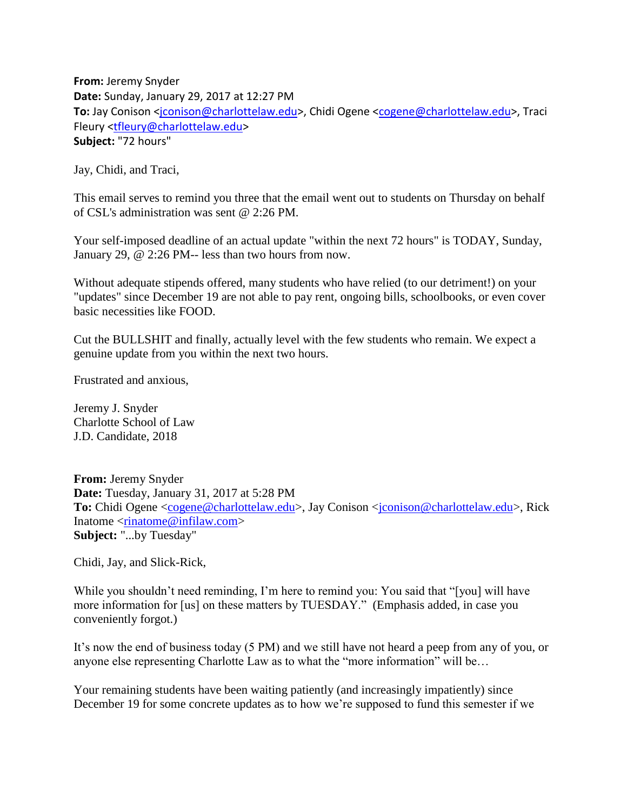**From:** Jeremy Snyder **Date:** Sunday, January 29, 2017 at 12:27 PM **To:** Jay Conison [<jconison@charlottelaw.edu>](mailto:jconison@charlottelaw.edu), Chidi Ogene [<cogene@charlottelaw.edu>](mailto:cogene@charlottelaw.edu), Traci Fleury [<tfleury@charlottelaw.edu>](mailto:tfleury@charlottelaw.edu) **Subject:** "72 hours"

Jay, Chidi, and Traci,

This email serves to remind you three that the email went out to students on Thursday on behalf of CSL's administration was sent @ 2:26 PM.

Your self-imposed deadline of an actual update "within the next 72 hours" is TODAY, Sunday, January 29, @ 2:26 PM-- less than two hours from now.

Without adequate stipends offered, many students who have relied (to our detriment!) on your "updates" since December 19 are not able to pay rent, ongoing bills, schoolbooks, or even cover basic necessities like FOOD.

Cut the BULLSHIT and finally, actually level with the few students who remain. We expect a genuine update from you within the next two hours.

Frustrated and anxious,

Jeremy J. Snyder Charlotte School of Law J.D. Candidate, 2018

**From:** Jeremy Snyder **Date:** Tuesday, January 31, 2017 at 5:28 PM **To:** Chidi Ogene [<cogene@charlottelaw.edu>](mailto:cogene@charlottelaw.edu), Jay Conison [<jconison@charlottelaw.edu>](mailto:jconison@charlottelaw.edu), Rick Inatome [<rinatome@infilaw.com>](mailto:rinatome@infilaw.com) **Subject:** "...by Tuesday"

Chidi, Jay, and Slick-Rick,

While you shouldn't need reminding, I'm here to remind you: You said that "[you] will have more information for [us] on these matters by TUESDAY." (Emphasis added, in case you conveniently forgot.)

It's now the end of business today (5 PM) and we still have not heard a peep from any of you, or anyone else representing Charlotte Law as to what the "more information" will be…

Your remaining students have been waiting patiently (and increasingly impatiently) since December 19 for some concrete updates as to how we're supposed to fund this semester if we